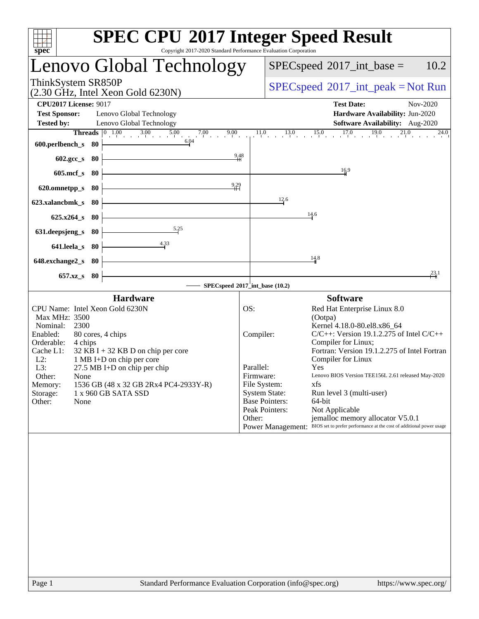| <b>SPEC CPU®2017 Integer Speed Result</b><br>Copyright 2017-2020 Standard Performance Evaluation Corporation                                                                                                                                                                                                                                                                                                                                                                                                                                                                                                                          |  |  |  |
|---------------------------------------------------------------------------------------------------------------------------------------------------------------------------------------------------------------------------------------------------------------------------------------------------------------------------------------------------------------------------------------------------------------------------------------------------------------------------------------------------------------------------------------------------------------------------------------------------------------------------------------|--|--|--|
| 10.2<br>$SPEC speed^{\circ}2017\_int\_base =$                                                                                                                                                                                                                                                                                                                                                                                                                                                                                                                                                                                         |  |  |  |
| $SPEC speed^{\circ}2017\_int\_peak = Not Run$                                                                                                                                                                                                                                                                                                                                                                                                                                                                                                                                                                                         |  |  |  |
| <b>Test Date:</b><br>Nov-2020<br>Hardware Availability: Jun-2020<br>Software Availability: Aug-2020                                                                                                                                                                                                                                                                                                                                                                                                                                                                                                                                   |  |  |  |
| <b>Threads</b> $\begin{bmatrix} 0 & 1.00 & 3.00 & 5.00 & 7.00 & 9.00 & 1.10 & 13.0 & 15.0 & 17.0 & 19.0 & 21.0 \end{bmatrix}$<br>24.0                                                                                                                                                                                                                                                                                                                                                                                                                                                                                                 |  |  |  |
| 16.9                                                                                                                                                                                                                                                                                                                                                                                                                                                                                                                                                                                                                                  |  |  |  |
|                                                                                                                                                                                                                                                                                                                                                                                                                                                                                                                                                                                                                                       |  |  |  |
| 12.6<br>14.6                                                                                                                                                                                                                                                                                                                                                                                                                                                                                                                                                                                                                          |  |  |  |
|                                                                                                                                                                                                                                                                                                                                                                                                                                                                                                                                                                                                                                       |  |  |  |
| 14.8                                                                                                                                                                                                                                                                                                                                                                                                                                                                                                                                                                                                                                  |  |  |  |
| $\frac{23.1}{4}$<br>SPECspeed®2017_int_base (10.2)                                                                                                                                                                                                                                                                                                                                                                                                                                                                                                                                                                                    |  |  |  |
| <b>Software</b><br>Red Hat Enterprise Linux 8.0<br>(Ootpa)<br>Kernel 4.18.0-80.el8.x86_64<br>$C/C++$ : Version 19.1.2.275 of Intel $C/C++$<br>Compiler:<br>Compiler for Linux;<br>Fortran: Version 19.1.2.275 of Intel Fortran<br>Compiler for Linux<br>Parallel:<br>Yes<br>Lenovo BIOS Version TEE156L 2.61 released May-2020<br>Firmware:<br>File System:<br>xfs<br><b>System State:</b><br>Run level 3 (multi-user)<br><b>Base Pointers:</b><br>64-bit<br>Peak Pointers:<br>Not Applicable<br>jemalloc memory allocator V5.0.1<br>Other:<br>Power Management: BIOS set to prefer performance at the cost of additional power usage |  |  |  |
|                                                                                                                                                                                                                                                                                                                                                                                                                                                                                                                                                                                                                                       |  |  |  |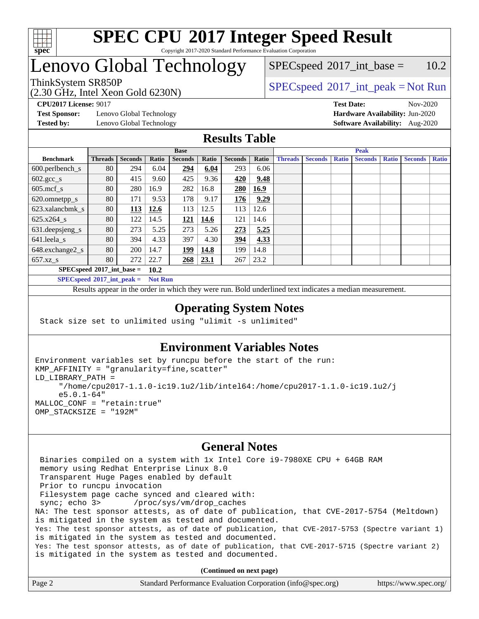

#### **[SPEC CPU](http://www.spec.org/auto/cpu2017/Docs/result-fields.html#SPECCPU2017IntegerSpeedResult)[2017 Integer Speed Result](http://www.spec.org/auto/cpu2017/Docs/result-fields.html#SPECCPU2017IntegerSpeedResult)** Copyright 2017-2020 Standard Performance Evaluation Corporation

# Lenovo Global Technology

(2.30 GHz, Intel Xeon Gold 6230N)

 $SPEC speed^{\circ}2017\_int\_peak = Not Run$  $SPEC speed^{\circ}2017\_int\_base = 10.2$ 

**[Test Sponsor:](http://www.spec.org/auto/cpu2017/Docs/result-fields.html#TestSponsor)** Lenovo Global Technology **[Hardware Availability:](http://www.spec.org/auto/cpu2017/Docs/result-fields.html#HardwareAvailability)** Jun-2020

**[CPU2017 License:](http://www.spec.org/auto/cpu2017/Docs/result-fields.html#CPU2017License)** 9017 **[Test Date:](http://www.spec.org/auto/cpu2017/Docs/result-fields.html#TestDate)** Nov-2020 **[Tested by:](http://www.spec.org/auto/cpu2017/Docs/result-fields.html#Testedby)** Lenovo Global Technology **[Software Availability:](http://www.spec.org/auto/cpu2017/Docs/result-fields.html#SoftwareAvailability)** Aug-2020

### **[Results Table](http://www.spec.org/auto/cpu2017/Docs/result-fields.html#ResultsTable)**

|                                            | <b>Base</b>    |                |       |                   |             | <b>Peak</b>    |       |                |                |              |                |              |                |              |
|--------------------------------------------|----------------|----------------|-------|-------------------|-------------|----------------|-------|----------------|----------------|--------------|----------------|--------------|----------------|--------------|
| <b>Benchmark</b>                           | <b>Threads</b> | <b>Seconds</b> | Ratio | <b>Seconds</b>    | Ratio       | <b>Seconds</b> | Ratio | <b>Threads</b> | <b>Seconds</b> | <b>Ratio</b> | <b>Seconds</b> | <b>Ratio</b> | <b>Seconds</b> | <b>Ratio</b> |
| $600.$ perlbench_s                         | 80             | 294            | 6.04  | <u>294</u>        | 6.04        | 293            | 6.06  |                |                |              |                |              |                |              |
| $602 \text{.} \text{gcc}\text{_<}$ s       | 80             | 415            | 9.60  | 425               | 9.36        | 420            | 9.48  |                |                |              |                |              |                |              |
| $605$ .mcf s                               | 80             | 280            | 16.9  | 282               | 16.8        | 280            | 16.9  |                |                |              |                |              |                |              |
| 620.omnetpp_s                              | 80             | 171            | 9.53  | 178               | 9.17        | 176            | 9.29  |                |                |              |                |              |                |              |
| 623.xalancbmk s                            | 80             | 113            | 12.6  | 113               | 12.5        | 113            | 12.6  |                |                |              |                |              |                |              |
| 625.x264 s                                 | 80             | 122            | 14.5  | <u>121</u>        | <b>14.6</b> | 121            | 14.6  |                |                |              |                |              |                |              |
| 631.deepsjeng_s                            | 80             | 273            | 5.25  | 273               | 5.26        | 273            | 5.25  |                |                |              |                |              |                |              |
| 641.leela s                                | 80             | 394            | 4.33  | 397               | 4.30        | 394            | 4.33  |                |                |              |                |              |                |              |
| 648.exchange2_s                            | 80             | 200            | 14.7  | <u>199</u>        | 14.8        | 199            | 14.8  |                |                |              |                |              |                |              |
| $657.xz$ s                                 | 80             | 272            | 22.7  | $\underline{268}$ | 23.1        | 267            | 23.2  |                |                |              |                |              |                |              |
| $SPECspeed^{\circ}2017$ int base =<br>10.2 |                |                |       |                   |             |                |       |                |                |              |                |              |                |              |

**[SPECspeed](http://www.spec.org/auto/cpu2017/Docs/result-fields.html#SPECspeed2017intpeak)[2017\\_int\\_peak =](http://www.spec.org/auto/cpu2017/Docs/result-fields.html#SPECspeed2017intpeak) Not Run**

Results appear in the [order in which they were run.](http://www.spec.org/auto/cpu2017/Docs/result-fields.html#RunOrder) Bold underlined text [indicates a median measurement.](http://www.spec.org/auto/cpu2017/Docs/result-fields.html#Median)

#### **[Operating System Notes](http://www.spec.org/auto/cpu2017/Docs/result-fields.html#OperatingSystemNotes)**

Stack size set to unlimited using "ulimit -s unlimited"

### **[Environment Variables Notes](http://www.spec.org/auto/cpu2017/Docs/result-fields.html#EnvironmentVariablesNotes)**

```
Environment variables set by runcpu before the start of the run:
KMP_AFFINITY = "granularity=fine,scatter"
LD_LIBRARY_PATH =
      "/home/cpu2017-1.1.0-ic19.1u2/lib/intel64:/home/cpu2017-1.1.0-ic19.1u2/j
      e5.0.1-64"
MALLOC_CONF = "retain:true"
OMP_STACKSIZE = "192M"
```
#### **[General Notes](http://www.spec.org/auto/cpu2017/Docs/result-fields.html#GeneralNotes)**

 Binaries compiled on a system with 1x Intel Core i9-7980XE CPU + 64GB RAM memory using Redhat Enterprise Linux 8.0 Transparent Huge Pages enabled by default Prior to runcpu invocation Filesystem page cache synced and cleared with: sync; echo 3> /proc/sys/vm/drop\_caches NA: The test sponsor attests, as of date of publication, that CVE-2017-5754 (Meltdown) is mitigated in the system as tested and documented. Yes: The test sponsor attests, as of date of publication, that CVE-2017-5753 (Spectre variant 1) is mitigated in the system as tested and documented. Yes: The test sponsor attests, as of date of publication, that CVE-2017-5715 (Spectre variant 2) is mitigated in the system as tested and documented.

**(Continued on next page)**

| Page 2 | Standard Performance Evaluation Corporation (info@spec.org) | https://www.spec.org/ |
|--------|-------------------------------------------------------------|-----------------------|
|        |                                                             |                       |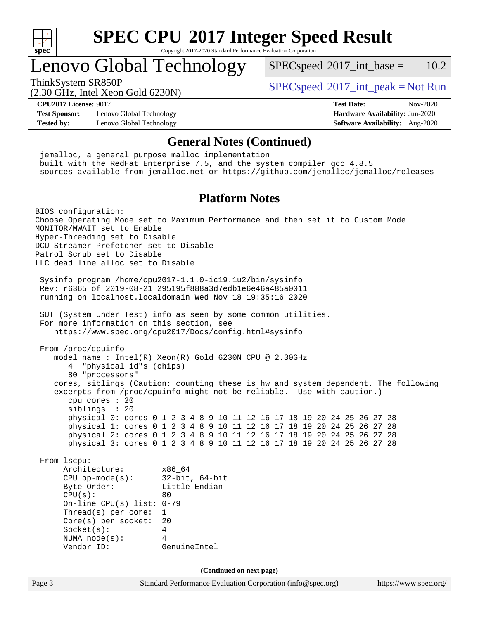

Copyright 2017-2020 Standard Performance Evaluation Corporation

# Lenovo Global Technology

 $SPECspeed^{\circ}2017\_int\_base = 10.2$  $SPECspeed^{\circ}2017\_int\_base = 10.2$ 

(2.30 GHz, Intel Xeon Gold 6230N)

ThinkSystem SR850P<br>  $SPEC speed^{\circ}2017\_int\_peak = Not Run$ 

**[CPU2017 License:](http://www.spec.org/auto/cpu2017/Docs/result-fields.html#CPU2017License)** 9017 **[Test Date:](http://www.spec.org/auto/cpu2017/Docs/result-fields.html#TestDate)** Nov-2020

**[Test Sponsor:](http://www.spec.org/auto/cpu2017/Docs/result-fields.html#TestSponsor)** Lenovo Global Technology **[Hardware Availability:](http://www.spec.org/auto/cpu2017/Docs/result-fields.html#HardwareAvailability)** Jun-2020 **[Tested by:](http://www.spec.org/auto/cpu2017/Docs/result-fields.html#Testedby)** Lenovo Global Technology **[Software Availability:](http://www.spec.org/auto/cpu2017/Docs/result-fields.html#SoftwareAvailability)** Aug-2020

#### **[General Notes \(Continued\)](http://www.spec.org/auto/cpu2017/Docs/result-fields.html#GeneralNotes)**

Page 3 Standard Performance Evaluation Corporation [\(info@spec.org\)](mailto:info@spec.org) <https://www.spec.org/> jemalloc, a general purpose malloc implementation built with the RedHat Enterprise 7.5, and the system compiler gcc 4.8.5 sources available from jemalloc.net or <https://github.com/jemalloc/jemalloc/releases> **[Platform Notes](http://www.spec.org/auto/cpu2017/Docs/result-fields.html#PlatformNotes)** BIOS configuration: Choose Operating Mode set to Maximum Performance and then set it to Custom Mode MONITOR/MWAIT set to Enable Hyper-Threading set to Disable DCU Streamer Prefetcher set to Disable Patrol Scrub set to Disable LLC dead line alloc set to Disable Sysinfo program /home/cpu2017-1.1.0-ic19.1u2/bin/sysinfo Rev: r6365 of 2019-08-21 295195f888a3d7edb1e6e46a485a0011 running on localhost.localdomain Wed Nov 18 19:35:16 2020 SUT (System Under Test) info as seen by some common utilities. For more information on this section, see <https://www.spec.org/cpu2017/Docs/config.html#sysinfo> From /proc/cpuinfo model name : Intel(R) Xeon(R) Gold 6230N CPU @ 2.30GHz 4 "physical id"s (chips) 80 "processors" cores, siblings (Caution: counting these is hw and system dependent. The following excerpts from /proc/cpuinfo might not be reliable. Use with caution.) cpu cores : 20 siblings : 20 physical 0: cores 0 1 2 3 4 8 9 10 11 12 16 17 18 19 20 24 25 26 27 28 physical 1: cores 0 1 2 3 4 8 9 10 11 12 16 17 18 19 20 24 25 26 27 28 physical 2: cores 0 1 2 3 4 8 9 10 11 12 16 17 18 19 20 24 25 26 27 28 physical 3: cores 0 1 2 3 4 8 9 10 11 12 16 17 18 19 20 24 25 26 27 28 From lscpu: Architecture: x86\_64 CPU op-mode(s): 32-bit, 64-bit Byte Order: Little Endian  $CPU(s):$  80 On-line CPU(s) list: 0-79 Thread(s) per core: 1 Core(s) per socket: 20 Socket(s): 4 NUMA node(s): 4 Vendor ID: GenuineIntel **(Continued on next page)**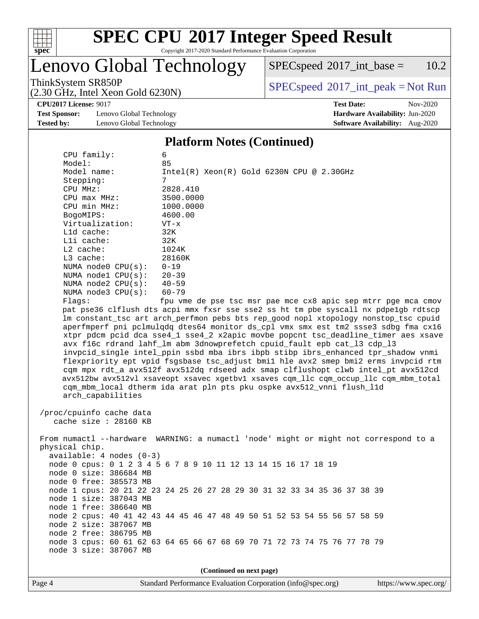

Copyright 2017-2020 Standard Performance Evaluation Corporation

# Lenovo Global Technology

 $SPECspeed^{\circ}2017\_int\_base = 10.2$  $SPECspeed^{\circ}2017\_int\_base = 10.2$ 

(2.30 GHz, Intel Xeon Gold 6230N)

**[Test Sponsor:](http://www.spec.org/auto/cpu2017/Docs/result-fields.html#TestSponsor)** Lenovo Global Technology **[Hardware Availability:](http://www.spec.org/auto/cpu2017/Docs/result-fields.html#HardwareAvailability)** Jun-2020 **[Tested by:](http://www.spec.org/auto/cpu2017/Docs/result-fields.html#Testedby)** Lenovo Global Technology **[Software Availability:](http://www.spec.org/auto/cpu2017/Docs/result-fields.html#SoftwareAvailability)** Aug-2020

ThinkSystem SR850P<br>  $(2, 30 \text{ GHz, Intel Yoon Gold } 6230 \text{ N})$  [SPECspeed](http://www.spec.org/auto/cpu2017/Docs/result-fields.html#SPECspeed2017intpeak)<sup>®</sup>[2017\\_int\\_peak = N](http://www.spec.org/auto/cpu2017/Docs/result-fields.html#SPECspeed2017intpeak)ot Run

**[CPU2017 License:](http://www.spec.org/auto/cpu2017/Docs/result-fields.html#CPU2017License)** 9017 **[Test Date:](http://www.spec.org/auto/cpu2017/Docs/result-fields.html#TestDate)** Nov-2020

#### **[Platform Notes \(Continued\)](http://www.spec.org/auto/cpu2017/Docs/result-fields.html#PlatformNotes)**

| CPU family:                                                                          | 6                                                                                    |  |  |  |  |  |  |
|--------------------------------------------------------------------------------------|--------------------------------------------------------------------------------------|--|--|--|--|--|--|
| Model:                                                                               | 85                                                                                   |  |  |  |  |  |  |
| Model name:                                                                          | $Intel(R) Xeon(R) Gold 6230N CPU @ 2.30GHz$                                          |  |  |  |  |  |  |
| Stepping:                                                                            | 7                                                                                    |  |  |  |  |  |  |
| CPU MHz:                                                                             | 2828.410                                                                             |  |  |  |  |  |  |
| CPU max MHz:                                                                         | 3500.0000                                                                            |  |  |  |  |  |  |
| CPU min MHz:                                                                         | 1000.0000                                                                            |  |  |  |  |  |  |
| BogoMIPS:                                                                            | 4600.00                                                                              |  |  |  |  |  |  |
| Virtualization:                                                                      | $VT - x$                                                                             |  |  |  |  |  |  |
| L1d cache:                                                                           | 32K                                                                                  |  |  |  |  |  |  |
| Lli cache:                                                                           | 32K                                                                                  |  |  |  |  |  |  |
| L2 cache:                                                                            | 1024K                                                                                |  |  |  |  |  |  |
| L3 cache:                                                                            | 28160K                                                                               |  |  |  |  |  |  |
| NUMA $node0$ $CPU(s)$ :                                                              | $0 - 19$                                                                             |  |  |  |  |  |  |
| NUMA nodel CPU(s):                                                                   | $20 - 39$                                                                            |  |  |  |  |  |  |
| NUMA $node2$ $CPU(s)$ :                                                              | $40 - 59$                                                                            |  |  |  |  |  |  |
| NUMA $node3$ CPU $(s)$ :                                                             | $60 - 79$                                                                            |  |  |  |  |  |  |
| Flags:                                                                               | fpu vme de pse tsc msr pae mce cx8 apic sep mtrr pge mca cmov                        |  |  |  |  |  |  |
|                                                                                      | pat pse36 clflush dts acpi mmx fxsr sse sse2 ss ht tm pbe syscall nx pdpe1gb rdtscp  |  |  |  |  |  |  |
|                                                                                      | lm constant_tsc art arch_perfmon pebs bts rep_good nopl xtopology nonstop_tsc cpuid  |  |  |  |  |  |  |
|                                                                                      | aperfmperf pni pclmulqdq dtes64 monitor ds_cpl vmx smx est tm2 ssse3 sdbg fma cx16   |  |  |  |  |  |  |
|                                                                                      | xtpr pdcm pcid dca sse4_1 sse4_2 x2apic movbe popcnt tsc_deadline_timer aes xsave    |  |  |  |  |  |  |
|                                                                                      | avx f16c rdrand lahf_lm abm 3dnowprefetch cpuid_fault epb cat_13 cdp_13              |  |  |  |  |  |  |
|                                                                                      | invpcid_single intel_ppin ssbd mba ibrs ibpb stibp ibrs_enhanced tpr_shadow vnmi     |  |  |  |  |  |  |
|                                                                                      | flexpriority ept vpid fsgsbase tsc_adjust bmil hle avx2 smep bmi2 erms invpcid rtm   |  |  |  |  |  |  |
|                                                                                      | cqm mpx rdt_a avx512f avx512dq rdseed adx smap clflushopt clwb intel_pt avx512cd     |  |  |  |  |  |  |
| avx512bw avx512vl xsaveopt xsavec xgetbvl xsaves cqm_llc cqm_occup_llc cqm_mbm_total |                                                                                      |  |  |  |  |  |  |
| cqm_mbm_local dtherm ida arat pln pts pku ospke avx512_vnni flush_l1d                |                                                                                      |  |  |  |  |  |  |
| arch_capabilities                                                                    |                                                                                      |  |  |  |  |  |  |
|                                                                                      |                                                                                      |  |  |  |  |  |  |
| /proc/cpuinfo cache data                                                             |                                                                                      |  |  |  |  |  |  |
| cache size : 28160 KB                                                                |                                                                                      |  |  |  |  |  |  |
|                                                                                      |                                                                                      |  |  |  |  |  |  |
|                                                                                      | From numactl --hardware WARNING: a numactl 'node' might or might not correspond to a |  |  |  |  |  |  |
| physical chip.                                                                       |                                                                                      |  |  |  |  |  |  |
| $available: 4 nodes (0-3)$                                                           |                                                                                      |  |  |  |  |  |  |
|                                                                                      | node 0 cpus: 0 1 2 3 4 5 6 7 8 9 10 11 12 13 14 15 16 17 18 19                       |  |  |  |  |  |  |
| node 0 size: 386684 MB                                                               |                                                                                      |  |  |  |  |  |  |
| node 0 free: 385573 MB                                                               |                                                                                      |  |  |  |  |  |  |
|                                                                                      | node 1 cpus: 20 21 22 23 24 25 26 27 28 29 30 31 32 33 34 35 36 37 38 39             |  |  |  |  |  |  |
| node 1 size: 387043 MB                                                               |                                                                                      |  |  |  |  |  |  |
| node 1 free: 386640 MB                                                               |                                                                                      |  |  |  |  |  |  |
|                                                                                      | node 2 cpus: 40 41 42 43 44 45 46 47 48 49 50 51 52 53 54 55 56 57 58 59             |  |  |  |  |  |  |
| node 2 size: 387067 MB                                                               |                                                                                      |  |  |  |  |  |  |
| node 2 free: 386795 MB                                                               |                                                                                      |  |  |  |  |  |  |
|                                                                                      | node 3 cpus: 60 61 62 63 64 65 66 67 68 69 70 71 72 73 74 75 76 77 78 79             |  |  |  |  |  |  |
| node 3 size: 387067 MB                                                               |                                                                                      |  |  |  |  |  |  |
|                                                                                      |                                                                                      |  |  |  |  |  |  |
|                                                                                      | (Continued on next page)                                                             |  |  |  |  |  |  |
|                                                                                      |                                                                                      |  |  |  |  |  |  |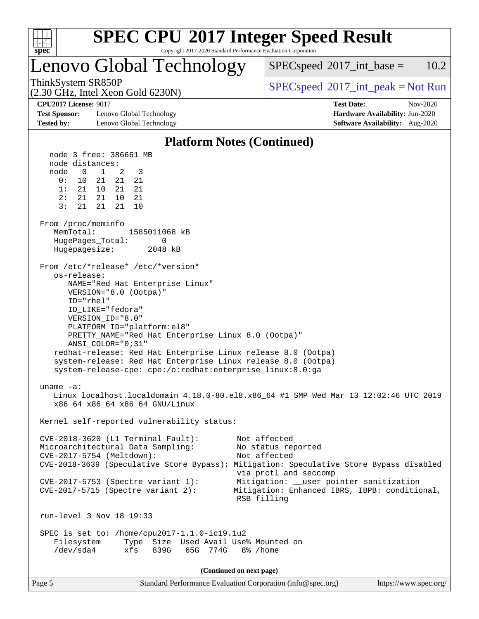

Copyright 2017-2020 Standard Performance Evaluation Corporation

# Lenovo Global Technology

 $SPECspeed^{\circ}2017\_int\_base = 10.2$  $SPECspeed^{\circ}2017\_int\_base = 10.2$ 

(2.30 GHz, Intel Xeon Gold 6230N)

ThinkSystem SR850P<br>  $SPEC speed^{\circ}2017\_int\_peak = Not Run$ 

**[Test Sponsor:](http://www.spec.org/auto/cpu2017/Docs/result-fields.html#TestSponsor)** Lenovo Global Technology **[Hardware Availability:](http://www.spec.org/auto/cpu2017/Docs/result-fields.html#HardwareAvailability)** Jun-2020 **[Tested by:](http://www.spec.org/auto/cpu2017/Docs/result-fields.html#Testedby)** Lenovo Global Technology **[Software Availability:](http://www.spec.org/auto/cpu2017/Docs/result-fields.html#SoftwareAvailability)** Aug-2020

**[CPU2017 License:](http://www.spec.org/auto/cpu2017/Docs/result-fields.html#CPU2017License)** 9017 **[Test Date:](http://www.spec.org/auto/cpu2017/Docs/result-fields.html#TestDate)** Nov-2020

#### **[Platform Notes \(Continued\)](http://www.spec.org/auto/cpu2017/Docs/result-fields.html#PlatformNotes)**

Page 5 Standard Performance Evaluation Corporation [\(info@spec.org\)](mailto:info@spec.org) <https://www.spec.org/> node 3 free: 386661 MB node distances: node 0 1 2 3 0: 10 21 21 21 1: 21 10 21 21 2: 21 21 10 21 3: 21 21 21 10 From /proc/meminfo MemTotal: 1585011068 kB HugePages\_Total: 0 Hugepagesize: 2048 kB From /etc/\*release\* /etc/\*version\* os-release: NAME="Red Hat Enterprise Linux" VERSION="8.0 (Ootpa)" ID="rhel" ID\_LIKE="fedora" VERSION\_ID="8.0" PLATFORM\_ID="platform:el8" PRETTY\_NAME="Red Hat Enterprise Linux 8.0 (Ootpa)" ANSI\_COLOR="0;31" redhat-release: Red Hat Enterprise Linux release 8.0 (Ootpa) system-release: Red Hat Enterprise Linux release 8.0 (Ootpa) system-release-cpe: cpe:/o:redhat:enterprise\_linux:8.0:ga uname -a: Linux localhost.localdomain 4.18.0-80.el8.x86\_64 #1 SMP Wed Mar 13 12:02:46 UTC 2019 x86\_64 x86\_64 x86\_64 GNU/Linux Kernel self-reported vulnerability status: CVE-2018-3620 (L1 Terminal Fault): Not affected Microarchitectural Data Sampling: No status reported CVE-2017-5754 (Meltdown): Not affected CVE-2018-3639 (Speculative Store Bypass): Mitigation: Speculative Store Bypass disabled via prctl and seccomp CVE-2017-5753 (Spectre variant 1): Mitigation: \_\_user pointer sanitization CVE-2017-5715 (Spectre variant 2): Mitigation: Enhanced IBRS, IBPB: conditional, RSB filling run-level 3 Nov 18 19:33 SPEC is set to: /home/cpu2017-1.1.0-ic19.1u2 Filesystem Type Size Used Avail Use% Mounted on /dev/sda4 xfs 839G 65G 774G 8% /home **(Continued on next page)**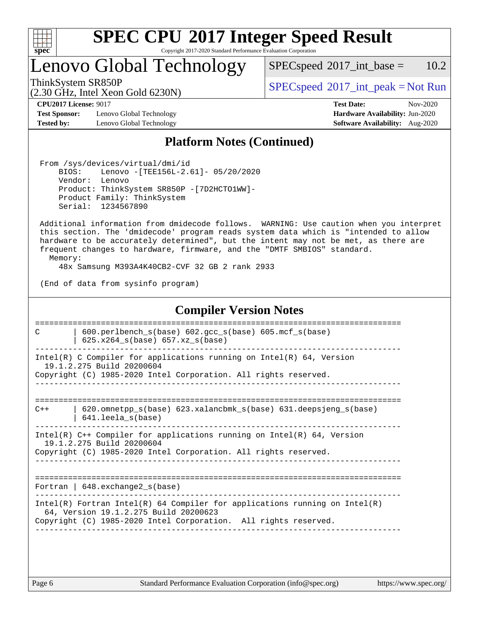

Copyright 2017-2020 Standard Performance Evaluation Corporation

# Lenovo Global Technology

 $SPECspeed^{\circ}2017\_int\_base = 10.2$  $SPECspeed^{\circ}2017\_int\_base = 10.2$ 

ThinkSystem SR850P<br>  $SPEC speed^{\circ}2017\_int\_peak = Not Run$ 

**[Test Sponsor:](http://www.spec.org/auto/cpu2017/Docs/result-fields.html#TestSponsor)** Lenovo Global Technology **[Hardware Availability:](http://www.spec.org/auto/cpu2017/Docs/result-fields.html#HardwareAvailability)** Jun-2020 **[Tested by:](http://www.spec.org/auto/cpu2017/Docs/result-fields.html#Testedby)** Lenovo Global Technology **[Software Availability:](http://www.spec.org/auto/cpu2017/Docs/result-fields.html#SoftwareAvailability)** Aug-2020

(2.30 GHz, Intel Xeon Gold 6230N)

**[CPU2017 License:](http://www.spec.org/auto/cpu2017/Docs/result-fields.html#CPU2017License)** 9017 **[Test Date:](http://www.spec.org/auto/cpu2017/Docs/result-fields.html#TestDate)** Nov-2020

#### **[Platform Notes \(Continued\)](http://www.spec.org/auto/cpu2017/Docs/result-fields.html#PlatformNotes)**

 From /sys/devices/virtual/dmi/id BIOS: Lenovo -[TEE156L-2.61]- 05/20/2020 Vendor: Lenovo Product: ThinkSystem SR850P -[7D2HCTO1WW]- Product Family: ThinkSystem Serial: 1234567890

 Additional information from dmidecode follows. WARNING: Use caution when you interpret this section. The 'dmidecode' program reads system data which is "intended to allow hardware to be accurately determined", but the intent may not be met, as there are frequent changes to hardware, firmware, and the "DMTF SMBIOS" standard.

Memory:

48x Samsung M393A4K40CB2-CVF 32 GB 2 rank 2933

(End of data from sysinfo program)

#### **[Compiler Version Notes](http://www.spec.org/auto/cpu2017/Docs/result-fields.html#CompilerVersionNotes)** ============================================================================== C | 600.perlbench\_s(base) 602.gcc\_s(base) 605.mcf\_s(base) | 625.x264  $s(base)$  657.xz  $s(base)$ ------------------------------------------------------------------------------ Intel(R) C Compiler for applications running on  $Intel(R) 64$ , Version 19.1.2.275 Build 20200604 Copyright (C) 1985-2020 Intel Corporation. All rights reserved. ------------------------------------------------------------------------------ ============================================================================== C++ | 620.omnetpp\_s(base) 623.xalancbmk\_s(base) 631.deepsjeng\_s(base) | 641.leela\_s(base) ------------------------------------------------------------------------------ Intel(R) C++ Compiler for applications running on Intel(R) 64, Version 19.1.2.275 Build 20200604 Copyright (C) 1985-2020 Intel Corporation. All rights reserved. ------------------------------------------------------------------------------ ============================================================================== Fortran | 648.exchange2\_s(base) ------------------------------------------------------------------------------ Intel(R) Fortran Intel(R) 64 Compiler for applications running on Intel(R) 64, Version 19.1.2.275 Build 20200623 Copyright (C) 1985-2020 Intel Corporation. All rights reserved. ------------------------------------------------------------------------------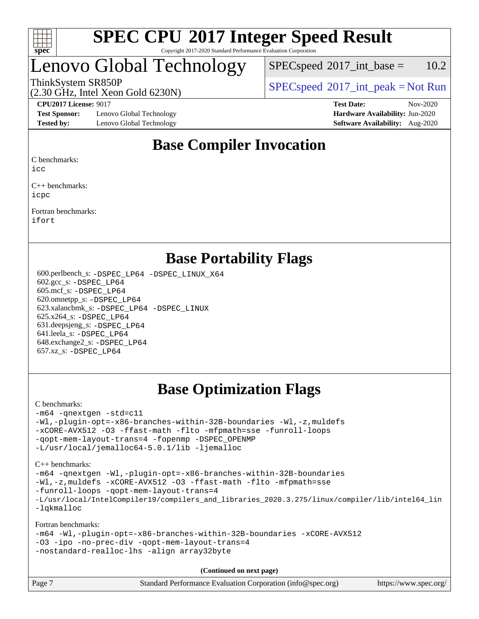

#### **[SPEC CPU](http://www.spec.org/auto/cpu2017/Docs/result-fields.html#SPECCPU2017IntegerSpeedResult)[2017 Integer Speed Result](http://www.spec.org/auto/cpu2017/Docs/result-fields.html#SPECCPU2017IntegerSpeedResult)** Copyright 2017-2020 Standard Performance Evaluation Corporation

# Lenovo Global Technology

 $SPECspeed^{\circ}2017\_int\_base = 10.2$  $SPECspeed^{\circ}2017\_int\_base = 10.2$ 

(2.30 GHz, Intel Xeon Gold 6230N)

ThinkSystem SR850P<br>  $SPEC speed^{\circ}2017\_int\_peak = Not Run$ 

**[Test Sponsor:](http://www.spec.org/auto/cpu2017/Docs/result-fields.html#TestSponsor)** Lenovo Global Technology **[Hardware Availability:](http://www.spec.org/auto/cpu2017/Docs/result-fields.html#HardwareAvailability)** Jun-2020 **[Tested by:](http://www.spec.org/auto/cpu2017/Docs/result-fields.html#Testedby)** Lenovo Global Technology **[Software Availability:](http://www.spec.org/auto/cpu2017/Docs/result-fields.html#SoftwareAvailability)** Aug-2020

**[CPU2017 License:](http://www.spec.org/auto/cpu2017/Docs/result-fields.html#CPU2017License)** 9017 **[Test Date:](http://www.spec.org/auto/cpu2017/Docs/result-fields.html#TestDate)** Nov-2020

### **[Base Compiler Invocation](http://www.spec.org/auto/cpu2017/Docs/result-fields.html#BaseCompilerInvocation)**

[C benchmarks:](http://www.spec.org/auto/cpu2017/Docs/result-fields.html#Cbenchmarks)

[icc](http://www.spec.org/cpu2017/results/res2020q4/cpu2017-20201123-24447.flags.html#user_CCbase_intel_icc_66fc1ee009f7361af1fbd72ca7dcefbb700085f36577c54f309893dd4ec40d12360134090235512931783d35fd58c0460139e722d5067c5574d8eaf2b3e37e92)

[C++ benchmarks](http://www.spec.org/auto/cpu2017/Docs/result-fields.html#CXXbenchmarks): [icpc](http://www.spec.org/cpu2017/results/res2020q4/cpu2017-20201123-24447.flags.html#user_CXXbase_intel_icpc_c510b6838c7f56d33e37e94d029a35b4a7bccf4766a728ee175e80a419847e808290a9b78be685c44ab727ea267ec2f070ec5dc83b407c0218cded6866a35d07)

[Fortran benchmarks:](http://www.spec.org/auto/cpu2017/Docs/result-fields.html#Fortranbenchmarks) [ifort](http://www.spec.org/cpu2017/results/res2020q4/cpu2017-20201123-24447.flags.html#user_FCbase_intel_ifort_8111460550e3ca792625aed983ce982f94888b8b503583aa7ba2b8303487b4d8a21a13e7191a45c5fd58ff318f48f9492884d4413fa793fd88dd292cad7027ca)

### **[Base Portability Flags](http://www.spec.org/auto/cpu2017/Docs/result-fields.html#BasePortabilityFlags)**

 600.perlbench\_s: [-DSPEC\\_LP64](http://www.spec.org/cpu2017/results/res2020q4/cpu2017-20201123-24447.flags.html#b600.perlbench_s_basePORTABILITY_DSPEC_LP64) [-DSPEC\\_LINUX\\_X64](http://www.spec.org/cpu2017/results/res2020q4/cpu2017-20201123-24447.flags.html#b600.perlbench_s_baseCPORTABILITY_DSPEC_LINUX_X64) 602.gcc\_s: [-DSPEC\\_LP64](http://www.spec.org/cpu2017/results/res2020q4/cpu2017-20201123-24447.flags.html#suite_basePORTABILITY602_gcc_s_DSPEC_LP64) 605.mcf\_s: [-DSPEC\\_LP64](http://www.spec.org/cpu2017/results/res2020q4/cpu2017-20201123-24447.flags.html#suite_basePORTABILITY605_mcf_s_DSPEC_LP64) 620.omnetpp\_s: [-DSPEC\\_LP64](http://www.spec.org/cpu2017/results/res2020q4/cpu2017-20201123-24447.flags.html#suite_basePORTABILITY620_omnetpp_s_DSPEC_LP64) 623.xalancbmk\_s: [-DSPEC\\_LP64](http://www.spec.org/cpu2017/results/res2020q4/cpu2017-20201123-24447.flags.html#suite_basePORTABILITY623_xalancbmk_s_DSPEC_LP64) [-DSPEC\\_LINUX](http://www.spec.org/cpu2017/results/res2020q4/cpu2017-20201123-24447.flags.html#b623.xalancbmk_s_baseCXXPORTABILITY_DSPEC_LINUX) 625.x264\_s: [-DSPEC\\_LP64](http://www.spec.org/cpu2017/results/res2020q4/cpu2017-20201123-24447.flags.html#suite_basePORTABILITY625_x264_s_DSPEC_LP64) 631.deepsjeng\_s: [-DSPEC\\_LP64](http://www.spec.org/cpu2017/results/res2020q4/cpu2017-20201123-24447.flags.html#suite_basePORTABILITY631_deepsjeng_s_DSPEC_LP64) 641.leela\_s: [-DSPEC\\_LP64](http://www.spec.org/cpu2017/results/res2020q4/cpu2017-20201123-24447.flags.html#suite_basePORTABILITY641_leela_s_DSPEC_LP64) 648.exchange2\_s: [-DSPEC\\_LP64](http://www.spec.org/cpu2017/results/res2020q4/cpu2017-20201123-24447.flags.html#suite_basePORTABILITY648_exchange2_s_DSPEC_LP64) 657.xz\_s: [-DSPEC\\_LP64](http://www.spec.org/cpu2017/results/res2020q4/cpu2017-20201123-24447.flags.html#suite_basePORTABILITY657_xz_s_DSPEC_LP64)

### **[Base Optimization Flags](http://www.spec.org/auto/cpu2017/Docs/result-fields.html#BaseOptimizationFlags)**

#### [C benchmarks](http://www.spec.org/auto/cpu2017/Docs/result-fields.html#Cbenchmarks):

```
-m64 -qnextgen -std=c11
-Wl,-plugin-opt=-x86-branches-within-32B-boundaries -Wl,-z,muldefs
-xCORE-AVX512 -O3 -ffast-math -flto -mfpmath=sse -funroll-loops
-qopt-mem-layout-trans=4 -fopenmp -DSPEC_OPENMP
-L/usr/local/jemalloc64-5.0.1/lib -ljemalloc
```
[C++ benchmarks:](http://www.spec.org/auto/cpu2017/Docs/result-fields.html#CXXbenchmarks)

[-m64](http://www.spec.org/cpu2017/results/res2020q4/cpu2017-20201123-24447.flags.html#user_CXXbase_m64-icc) [-qnextgen](http://www.spec.org/cpu2017/results/res2020q4/cpu2017-20201123-24447.flags.html#user_CXXbase_f-qnextgen) [-Wl,-plugin-opt=-x86-branches-within-32B-boundaries](http://www.spec.org/cpu2017/results/res2020q4/cpu2017-20201123-24447.flags.html#user_CXXbase_f-x86-branches-within-32B-boundaries_0098b4e4317ae60947b7b728078a624952a08ac37a3c797dfb4ffeb399e0c61a9dd0f2f44ce917e9361fb9076ccb15e7824594512dd315205382d84209e912f3) [-Wl,-z,muldefs](http://www.spec.org/cpu2017/results/res2020q4/cpu2017-20201123-24447.flags.html#user_CXXbase_link_force_multiple1_b4cbdb97b34bdee9ceefcfe54f4c8ea74255f0b02a4b23e853cdb0e18eb4525ac79b5a88067c842dd0ee6996c24547a27a4b99331201badda8798ef8a743f577) [-xCORE-AVX512](http://www.spec.org/cpu2017/results/res2020q4/cpu2017-20201123-24447.flags.html#user_CXXbase_f-xCORE-AVX512) [-O3](http://www.spec.org/cpu2017/results/res2020q4/cpu2017-20201123-24447.flags.html#user_CXXbase_f-O3) [-ffast-math](http://www.spec.org/cpu2017/results/res2020q4/cpu2017-20201123-24447.flags.html#user_CXXbase_f-ffast-math) [-flto](http://www.spec.org/cpu2017/results/res2020q4/cpu2017-20201123-24447.flags.html#user_CXXbase_f-flto) [-mfpmath=sse](http://www.spec.org/cpu2017/results/res2020q4/cpu2017-20201123-24447.flags.html#user_CXXbase_f-mfpmath_70eb8fac26bde974f8ab713bc9086c5621c0b8d2f6c86f38af0bd7062540daf19db5f3a066d8c6684be05d84c9b6322eb3b5be6619d967835195b93d6c02afa1) [-funroll-loops](http://www.spec.org/cpu2017/results/res2020q4/cpu2017-20201123-24447.flags.html#user_CXXbase_f-funroll-loops) [-qopt-mem-layout-trans=4](http://www.spec.org/cpu2017/results/res2020q4/cpu2017-20201123-24447.flags.html#user_CXXbase_f-qopt-mem-layout-trans_fa39e755916c150a61361b7846f310bcdf6f04e385ef281cadf3647acec3f0ae266d1a1d22d972a7087a248fd4e6ca390a3634700869573d231a252c784941a8) [-L/usr/local/IntelCompiler19/compilers\\_and\\_libraries\\_2020.3.275/linux/compiler/lib/intel64\\_lin](http://www.spec.org/cpu2017/results/res2020q4/cpu2017-20201123-24447.flags.html#user_CXXbase_linkpath_6eb3b1b8be403820338b5b82e7a1c217a861a8962ac718a6253be1483b50620487664a39a847caf560d84a6b8bab7cca33d9f414525a12ede1e9473db34a3d08) [-lqkmalloc](http://www.spec.org/cpu2017/results/res2020q4/cpu2017-20201123-24447.flags.html#user_CXXbase_qkmalloc_link_lib_79a818439969f771c6bc311cfd333c00fc099dad35c030f5aab9dda831713d2015205805422f83de8875488a2991c0a156aaa600e1f9138f8fc37004abc96dc5)

[Fortran benchmarks:](http://www.spec.org/auto/cpu2017/Docs/result-fields.html#Fortranbenchmarks)

```
-m64 -Wl,-plugin-opt=-x86-branches-within-32B-boundaries -xCORE-AVX512
-O3 -ipo -no-prec-div -qopt-mem-layout-trans=4
-nostandard-realloc-lhs -align array32byte
```
**(Continued on next page)**

| Page 7 | Standard Performance Evaluation Corporation (info@spec.org) | https://www.spec.org/ |
|--------|-------------------------------------------------------------|-----------------------|